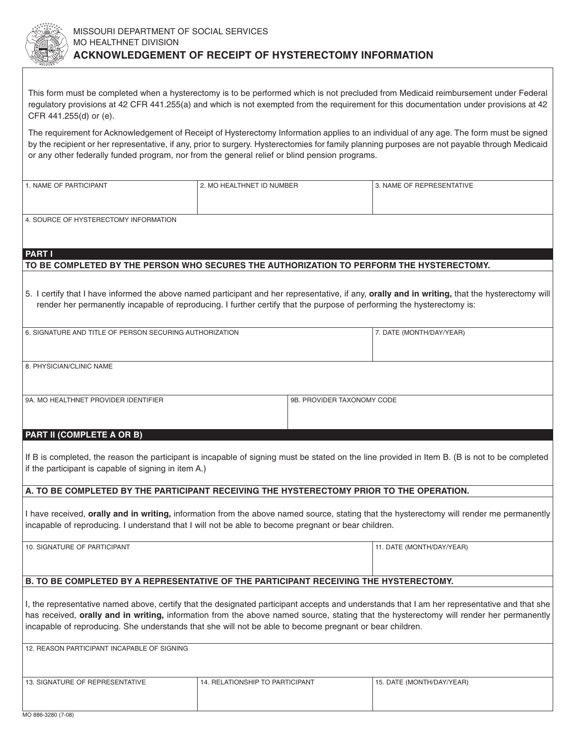

This form must be completed when a hysterectomy is to be performed which is not precluded from Medicaid reimbursement under Federal regulatory provisions at 42 CFR 441.255(a) and which is not exempted from the requirement for this documentation under provisions at 42 CFR 441.255(d) or (e).

The requirement for Acknowledgement of Receipt of Hysterectomy Information applies to an individual of any age. The form must be signed by the recipient or her representative, if any, prior to surgery. Hysterectomies for family planning purposes are not payable through Medicaid or any other federally funded program, nor from the general relief or blind pension programs.

| 1. NAME OF PARTICIPANT                | 2. MO HEALTHNET ID NUMBER | 3. NAME OF REPRESENTATIVE |  |  |
|---------------------------------------|---------------------------|---------------------------|--|--|
|                                       |                           |                           |  |  |
|                                       |                           |                           |  |  |
|                                       |                           |                           |  |  |
|                                       |                           |                           |  |  |
| 4. SOURCE OF HYSTERECTOMY INFORMATION |                           |                           |  |  |
|                                       |                           |                           |  |  |
|                                       |                           |                           |  |  |

#### **PART I**

## **TO BE COMPLETED BY THE PERSON WHO SECURES THE AUTHORIZATION TO PERFORM THE HYSTERECTOMY.**

5. I certify that I have informed the above named participant and her representative, if any, **orally and in writing,** that the hysterectomy will render her permanently incapable of reproducing. I further certify that the purpose of performing the hysterectomy is:

| 6. SIGNATURE AND TITLE OF PERSON SECURING AUTHORIZATION | 7. DATE (MONTH/DAY/YEAR) |
|---------------------------------------------------------|--------------------------|
|                                                         |                          |
| 8. PHYSICIAN/CLINIC NAME                                |                          |
|                                                         |                          |

9A. MO HEALTHNET PROVIDER IDENTIFIER **198 CODE SERVIS AND REALTH AND ASSESS** 

### **PART II (COMPLETE A OR B)**

If B is completed, the reason the participant is incapable of signing must be stated on the line provided in Item B. (B is not to be completed if the participant is capable of signing in item A.)

# **A. TO BE COMPLETED BY THE PARTICIPANT RECEIVING THE HYSTERECTOMY PRIOR TO THE OPERATION.**

I have received, **orally and in writing,** information from the above named source, stating that the hysterectomy will render me permanently incapable of reproducing. I understand that I will not be able to become pregnant or bear children.

11. DATE (MONTH/DAY/YEAR)

### **B. TO BE COMPLETED BY A REPRESENTATIVE OF THE PARTICIPANT RECEIVING THE HYSTERECTOMY.**

I, the representative named above, certify that the designated participant accepts and understands that I am her representative and that she has received, **orally and in writing,** information from the above named source, stating that the hysterectomy will render her permanently incapable of reproducing. She understands that she will not be able to become pregnant or bear children.

| 12. REASON PARTICIPANT INCAPABLE OF SIGNING |                                 |                           |
|---------------------------------------------|---------------------------------|---------------------------|
|                                             |                                 |                           |
|                                             |                                 |                           |
| 13. SIGNATURE OF REPRESENTATIVE             | 14. RELATIONSHIP TO PARTICIPANT | 15. DATE (MONTH/DAY/YEAR) |
|                                             |                                 |                           |
|                                             |                                 |                           |